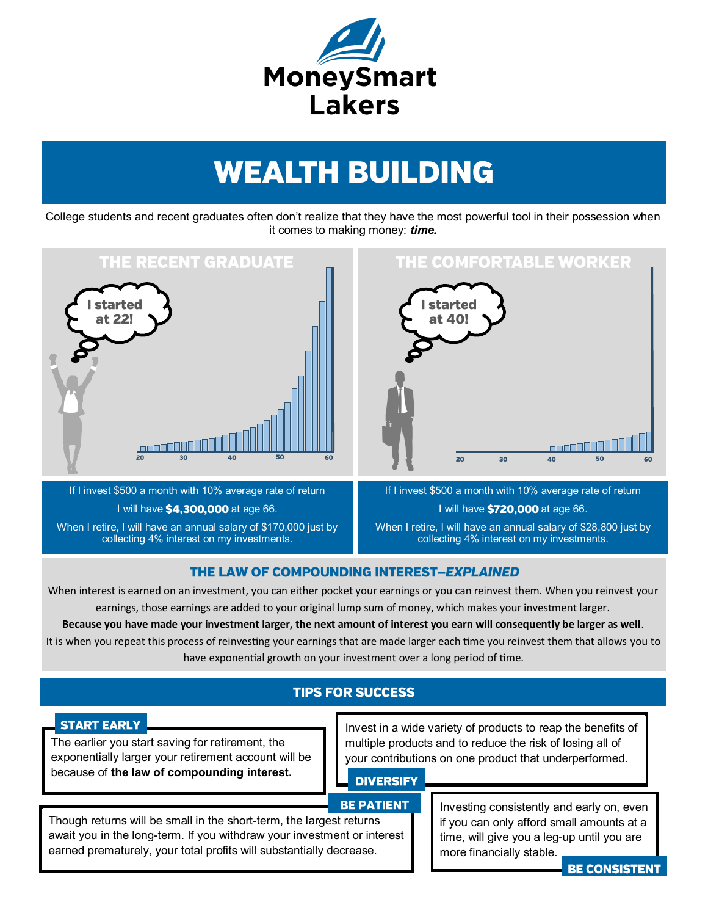

# **WEALTH BUILDING**

College students and recent graduates often don't realize that they have the most powerful tool in their possession when it comes to making money: *time.* 



If I invest \$500 a month with 10% average rate of return I will have \$4,300,000 at age 66. When I retire, I will have an annual salary of \$170,000 just by collecting 4% interest on my investments.

If I invest \$500 a month with 10% average rate of return I will have \$720,000 at age 66. When I retire, I will have an annual salary of \$28,800 just by collecting 4% interest on my investments.

### THE LAW OF COMPOUNDING INTEREST-EXPLAINED

When interest is earned on an investment, you can either pocket your earnings or you can reinvest them. When you reinvest your earnings, those earnings are added to your original lump sum of money, which makes your investment larger.

**Because you have made your investment larger, the next amount of interest you earn will consequently be larger as well**.

It is when you repeat this process of reinvesting your earnings that are made larger each time you reinvest them that allows you to have exponential growth on your investment over a long period of time.

## **TIPS FOR SUCCESS**

### **START EARLY**

The earlier you start saving for retirement, the exponentially larger your retirement account will be because of **the law of compounding interest.** 

Invest in a wide variety of products to reap the benefits of multiple products and to reduce the risk of losing all of your contributions on one product that underperformed.

### **DIVERSIFY**

### **BE PATIENT**

Though returns will be small in the short-term, the largest returns await you in the long-term. If you withdraw your investment or interest earned prematurely, your total profits will substantially decrease.

Investing consistently and early on, even if you can only afford small amounts at a time, will give you a leg-up until you are more financially stable.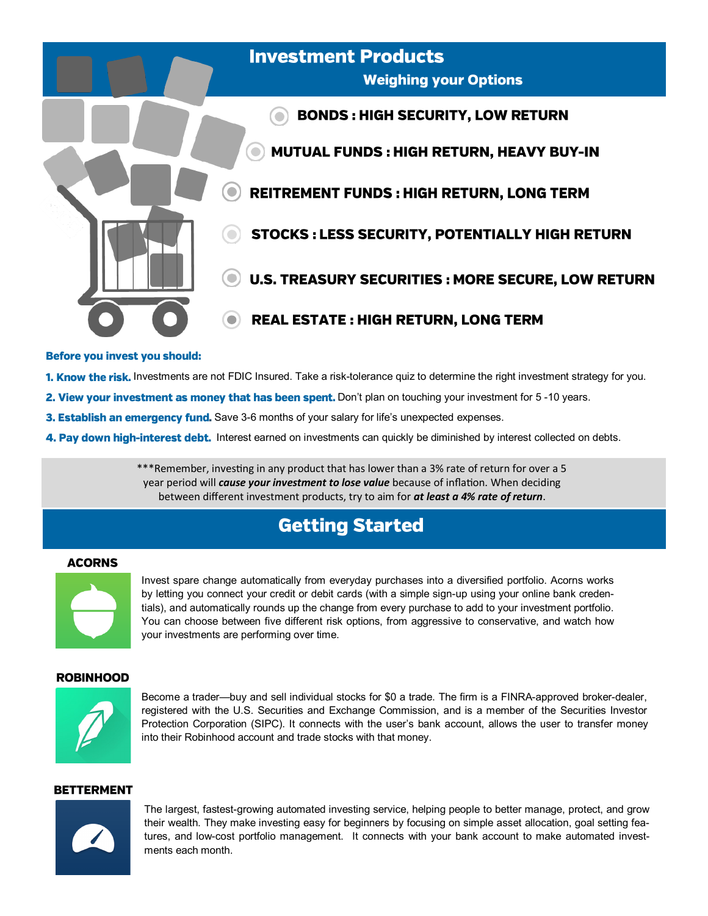

- 1. Know the risk. Investments are not FDIC Insured. Take a risk-tolerance quiz to determine the right investment strategy for you.
- 2. View your investment as money that has been spent. Don't plan on touching your investment for 5-10 years.
- 3. Establish an emergency fund. Save 3-6 months of your salary for life's unexpected expenses.
- 4. Pay down high-interest debt. Interest earned on investments can quickly be diminished by interest collected on debts.

\*\*\*Remember, investing in any product that has lower than a 3% rate of return for over a 5 year period will *cause your investment to lose value* because of inflation. When deciding between different investment products, try to aim for *at least a 4% rate of return*.

# **Getting Started**

### **ACORNS**



Invest spare change automatically from everyday purchases into a diversified portfolio. Acorns works by letting you connect your credit or debit cards (with a simple sign-up using your online bank credentials), and automatically rounds up the change from every purchase to add to your investment portfolio. You can choose between five different risk options, from aggressive to conservative, and watch how your investments are performing over time.

### **ROBINHOOD**



Become a trader—buy and sell individual stocks for \$0 a trade. The firm is a FINRA-approved broker-dealer, registered with the U.S. Securities and Exchange Commission, and is a member of the Securities Investor Protection Corporation (SIPC). It connects with the user's bank account, allows the user to transfer money into their Robinhood account and trade stocks with that money.

### **BETTERMENT**



The largest, fastest-growing automated investing service, helping people to better manage, protect, and grow their wealth. They make investing easy for beginners by focusing on simple asset allocation, goal setting features, and low-cost portfolio management. It connects with your bank account to make automated investments each month.